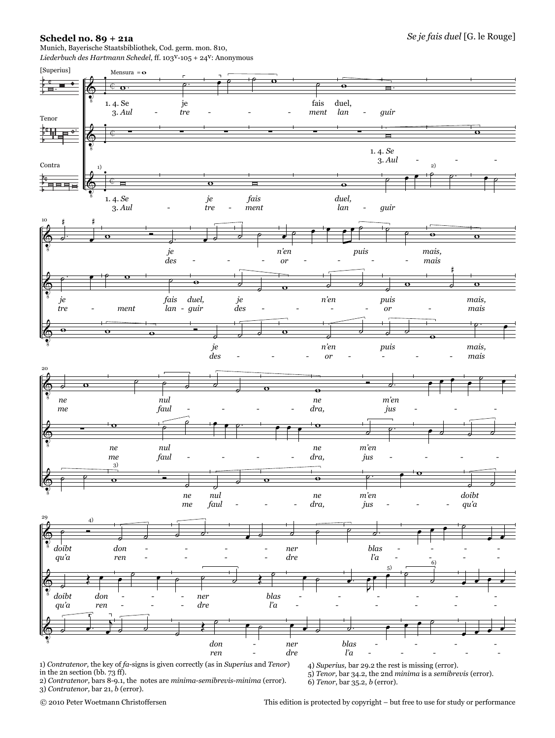## **Schedel no. 89 + 21a**

Munich, Bayerische Staatsbibliothek, Cod. germ. mon. 810, *Liederbuch des Hartmann Schedel*, ff. 103v-105 + 24v: Anonymous



1) *Contratenor,* the key of *fa*-signs is given correctly (as in *Superius* and *Tenor*) in the 2n section (bb. 73 ff). 2) *Contratenor,* bars 8-9.1, the notes are *minima-semibrevis-minima* (error).

4) *Superius,* bar 29.2 the rest is missing (error). 5) *Tenor,* bar 34.2, the 2nd *minima* is a *semibrevis* (error). 6) *Tenor*, bar 35.2, *b* (error).

© 2010 Peter Woetmann Christoffersen

3) *Contratenor,* bar 21, *b* (error).

This edition is protected by copyright – but free to use for study or performance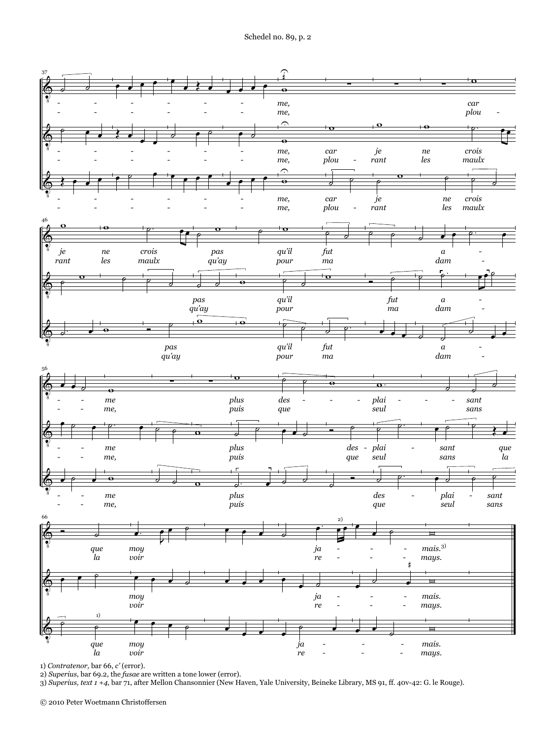

1) *Contratenor,* bar 66, *c'* (error).

2) *Superius,* bar 69.2, the *fusae* are written a tone lower (error).

3) *Superius, text 1 +4,* bar 71, after Mellon Chansonnier (New Haven, Yale University, Beineke Library, MS 91, ff. 40v-42: G. le Rouge).